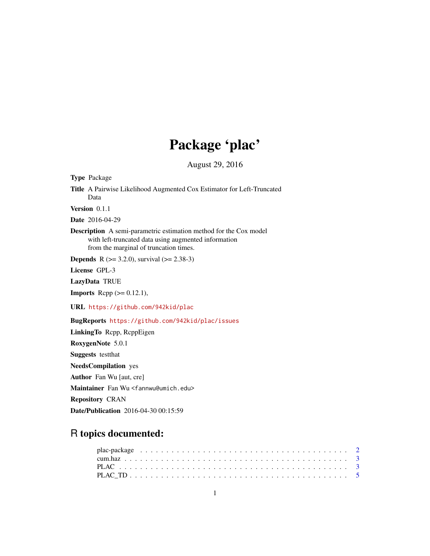## Package 'plac'

August 29, 2016

Type Package Title A Pairwise Likelihood Augmented Cox Estimator for Left-Truncated Data Version 0.1.1 Date 2016-04-29 Description A semi-parametric estimation method for the Cox model with left-truncated data using augmented information from the marginal of truncation times. **Depends** R ( $>= 3.2.0$ ), survival ( $>= 2.38-3$ ) License GPL-3 LazyData TRUE **Imports** Rcpp  $(>= 0.12.1)$ , URL <https://github.com/942kid/plac> BugReports <https://github.com/942kid/plac/issues> LinkingTo Rcpp, RcppEigen RoxygenNote 5.0.1 Suggests testthat NeedsCompilation yes Author Fan Wu [aut, cre] Maintainer Fan Wu <fannwu@umich.edu> Repository CRAN

# Date/Publication 2016-04-30 00:15:59

### R topics documented: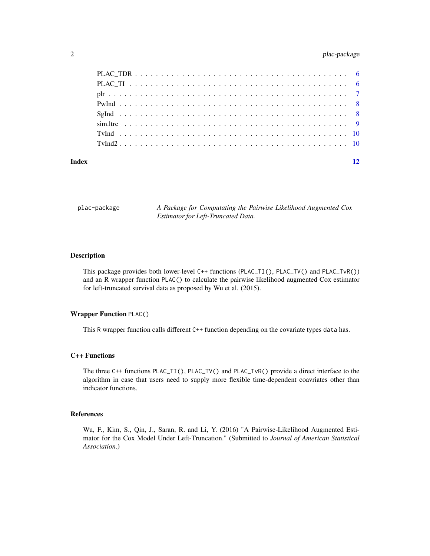#### <span id="page-1-0"></span>2 plac-package plac-package

| Index | 12 |
|-------|----|
|       |    |
|       |    |
|       |    |
|       |    |
|       |    |
|       |    |
|       |    |
|       |    |

plac-package *A Package for Computating the Pairwise Likelihood Augmented Cox Estimator for Left-Truncated Data.*

#### Description

This package provides both lower-level C++ functions (PLAC\_TI(), PLAC\_TV() and PLAC\_TvR()) and an R wrapper function PLAC() to calculate the pairwise likelihood augmented Cox estimator for left-truncated survival data as proposed by Wu et al. (2015).

#### Wrapper Function PLAC()

This R wrapper function calls different C++ function depending on the covariate types data has.

#### C++ Functions

The three C++ functions PLAC\_TI(), PLAC\_TV() and PLAC\_TvR() provide a direct interface to the algorithm in case that users need to supply more flexible time-dependent coavriates other than indicator functions.

#### References

Wu, F., Kim, S., Qin, J., Saran, R. and Li, Y. (2016) "A Pairwise-Likelihood Augmented Estimator for the Cox Model Under Left-Truncation." (Submitted to *Journal of American Statistical Association*.)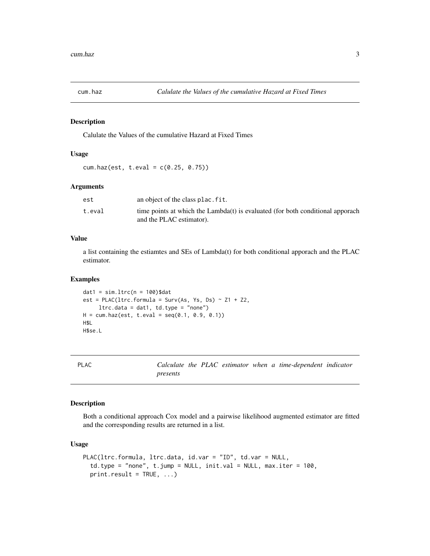<span id="page-2-0"></span>

#### Description

Calulate the Values of the cumulative Hazard at Fixed Times

#### Usage

cum.haz(est, t.eval = c(0.25, 0.75))

#### Arguments

| est    | an object of the class plac. fit.                                                                          |
|--------|------------------------------------------------------------------------------------------------------------|
| t.eval | time points at which the Lambda(t) is evaluated (for both conditional apporach<br>and the PLAC estimator). |

#### Value

a list containing the estiamtes and SEs of Lambda(t) for both conditional apporach and the PLAC estimator.

#### Examples

```
dat1 = sim.ltrc(n = 100)$dat
est = PLAC(ltrc.formula = Surv(As, Ys, Ds) ~ Z1 + Z2,
     ltrc.data = dat1, td.type = "none")H = cum.haz(est, t.eval = seq(0.1, 0.9, 0.1))H$L
H$se.L
```
PLAC *Calculate the PLAC estimator when a time-dependent indicator presents*

#### Description

Both a conditional approach Cox model and a pairwise likelihood augmented estimator are fitted and the corresponding results are returned in a list.

#### Usage

```
PLAC(ltrc.formula, ltrc.data, id.var = "ID", td.var = NULL,
  td.type = "none", t.jump = NULL, init.val = NULL, max.iter = 100,
  print.readt = TRUE, ...)
```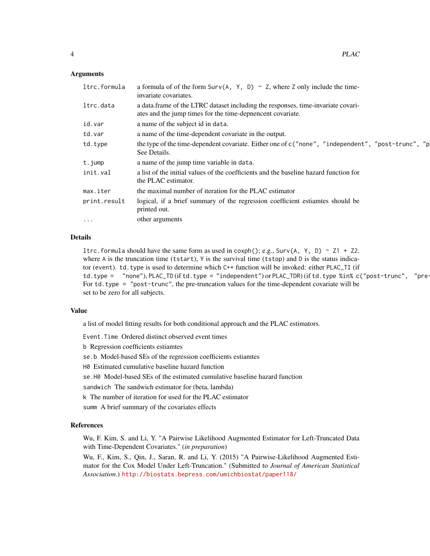#### Arguments

| ltrc.formula | a formula of of the form Surv(A, Y, D) $\sim$ Z, where Z only include the time-<br>invariate covariates.                                       |
|--------------|------------------------------------------------------------------------------------------------------------------------------------------------|
| ltrc.data    | a data.frame of the LTRC dataset including the responses, time-invariate covari-<br>ates and the jump times for the time-deprendent covariate. |
| id.var       | a name of the subject id in data.                                                                                                              |
| td.var       | a name of the time-dependent covariate in the output.                                                                                          |
| td.type      | the type of the time-dependent covariate. Either one of c ("none", "independent", "post-trunc", "p<br>See Details.                             |
| t.jump       | a name of the jump time variable in data.                                                                                                      |
| init.val     | a list of the initial values of the coefficients and the baseline hazard function for<br>the PLAC estimator.                                   |
| max.iter     | the maximal number of iteration for the PLAC estimator                                                                                         |
| print.result | logical, if a brief summary of the regression coefficient estiamtes should be<br>printed out.                                                  |
| $\cdots$     | other arguments                                                                                                                                |
|              |                                                                                                                                                |

#### Details

ltrc.formula should have the same form as used in coxph(); e.g., Surv(A, Y, D) ~ Z1 + Z2. where  $A$  is the truncation time (tstart),  $Y$  is the survival time (tstop) and  $D$  is the status indicator (event). td. type is used to determine which C++ function will be invoked: either PLAC\_TI (if td.type =  $"none", PLAC_TD (if td.type = "independent") or PLAC_TDR) (if td.type % in% c("post-trunc", "pre-ture").$ For td. type = "post-trunc", the pre-truncation values for the time-dependent covariate will be set to be zero for all subjects.

#### Value

a list of model fitting results for both conditional approach and the PLAC estimators.

Event.Time Ordered distinct observed event times

b Regression coefficients estiamtes

se.b Model-based SEs of the regression coefficients estiamtes

H0 Estimated cumulative baseline hazard function

se.H0 Model-based SEs of the estimated cumulative baseline hazard function

sandwich The sandwich estimator for (beta, lambda)

k The number of iteration for used for the PLAC estimator

summ A brief summary of the covariates effects

#### References

Wu, F. Kim, S. and Li, Y. "A Pairwise Likelihood Augmented Estimator for Left-Truncated Data with Time-Dependent Covariates." (*in preparation*)

Wu, F., Kim, S., Qin, J., Saran, R. and Li, Y. (2015) "A Pairwise-Likelihood Augmented Estimator for the Cox Model Under Left-Truncation." (Submitted to *Journal of American Statistical Association*.) <http://biostats.bepress.com/umichbiostat/paper118/>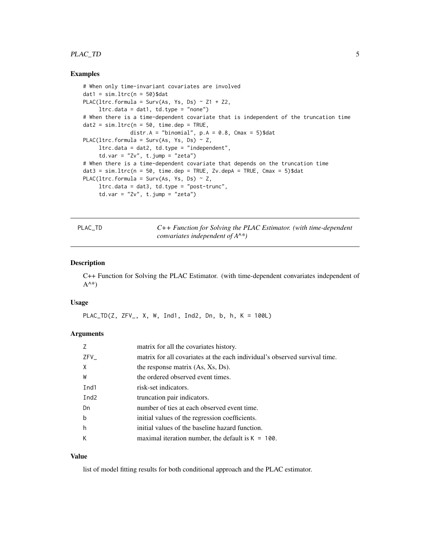#### <span id="page-4-0"></span>PLAC\_TD 5

#### Examples

```
# When only time-invariant covariates are involved
dat1 = sim.ltrc(n = 50)$dat
PLAC(ltrc.formula = Surv(As, Ys, Ds) \sim Z1 + Z2,
     ltrc.data = dat1, td.type = "none")# When there is a time-dependent covariate that is independent of the truncation time
dat2 = sim.ltrc(n = 50, time.dep = TRUE,distr.A = "binomial", p.A = 0.8, Cmax = 5)$dat
PLAC(ltrc.formula = Surv(As, Ys, Ds) \sim Z,
     ltrc.data = dat2, td.type = "independent",
     td.var = "Zv", t.jump = "zeta")# When there is a time-dependent covariate that depends on the truncation time
data = sim.ltrc(n = 50, time.dep = TRUE, Zv.depA = TRUE, Cmax = 5)$dat
PLAC(ltrc.formula = Surv(As, Ys, Ds) \sim Z,
     ltrc.data = dat3, td.type = "post-trunc",
     td.var = "Zv", t.jump = "zeta"
```
PLAC\_TD *C++ Function for Solving the PLAC Estimator. (with time-dependent convariates independent of A^\*)*

#### Description

C++ Function for Solving the PLAC Estimator. (with time-dependent convariates independent of  $A^{\wedge *})$ 

#### Usage

PLAC\_TD(Z, ZFV\_, X, W, Ind1, Ind2, Dn, b, h, K = 100L)

#### Arguments

| 7                | matrix for all the covariates history.                                     |
|------------------|----------------------------------------------------------------------------|
| ZFV              | matrix for all covariates at the each individual's observed survival time. |
| $\mathsf{X}$     | the response matrix (As, Xs, Ds).                                          |
| W                | the ordered observed event times.                                          |
| Ind1             | risk-set indicators.                                                       |
| Ind <sub>2</sub> | truncation pair indicators.                                                |
| Dn               | number of ties at each observed event time.                                |
| $\mathsf b$      | initial values of the regression coefficients.                             |
| h                | initial values of the baseline hazard function.                            |
| К                | maximal iteration number, the default is $K = 100$ .                       |

#### Value

list of model fitting results for both conditional approach and the PLAC estimator.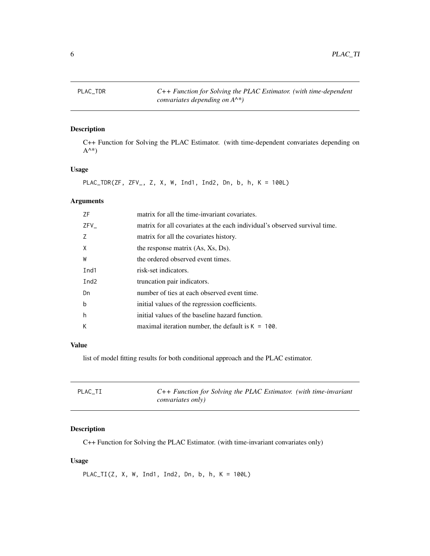<span id="page-5-0"></span>PLAC\_TDR *C++ Function for Solving the PLAC Estimator. (with time-dependent convariates depending on A^\*)*

#### Description

C++ Function for Solving the PLAC Estimator. (with time-dependent convariates depending on  $A^{\wedge *})$ 

#### Usage

PLAC\_TDR(ZF, ZFV\_, Z, X, W, Ind1, Ind2, Dn, b, h, K = 100L)

#### Arguments

| ZF               | matrix for all the time-invariant covariates.                              |
|------------------|----------------------------------------------------------------------------|
| ZFV              | matrix for all covariates at the each individual's observed survival time. |
| 7                | matrix for all the covariates history.                                     |
| X                | the response matrix (As, Xs, Ds).                                          |
| W                | the ordered observed event times.                                          |
| Ind1             | risk-set indicators.                                                       |
| Ind <sub>2</sub> | truncation pair indicators.                                                |
| Dn               | number of ties at each observed event time.                                |
| b                | initial values of the regression coefficients.                             |
| h                | initial values of the baseline hazard function.                            |
| К                | maximal iteration number, the default is $K = 100$ .                       |
|                  |                                                                            |

#### Value

list of model fitting results for both conditional approach and the PLAC estimator.

| PLAC TI | $C++$ Function for Solving the PLAC Estimator. (with time-invariant |
|---------|---------------------------------------------------------------------|
|         | convariates only)                                                   |

#### Description

C++ Function for Solving the PLAC Estimator. (with time-invariant convariates only)

#### Usage

PLAC\_TI(Z, X, W, Ind1, Ind2, Dn, b, h, K = 100L)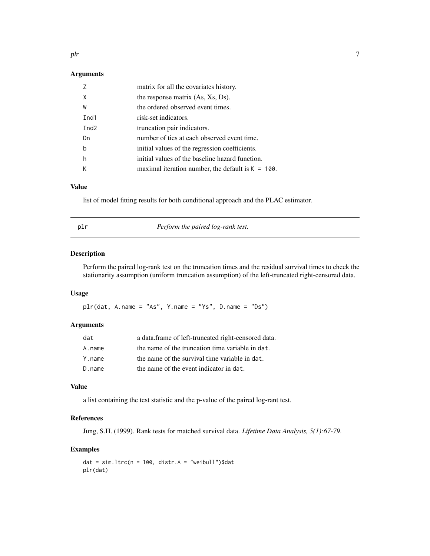#### <span id="page-6-0"></span>Arguments

|                  | matrix for all the covariates history.               |
|------------------|------------------------------------------------------|
| X                | the response matrix (As, Xs, Ds).                    |
| W                | the ordered observed event times.                    |
| Ind1             | risk-set indicators.                                 |
| Ind <sub>2</sub> | truncation pair indicators.                          |
| Dn               | number of ties at each observed event time.          |
| b                | initial values of the regression coefficients.       |
| h                | initial values of the baseline hazard function.      |
|                  | maximal iteration number, the default is $K = 100$ . |

#### Value

list of model fitting results for both conditional approach and the PLAC estimator.

| ٧ | n a<br>× |
|---|----------|

Perform the paired log-rank test.

#### Description

Perform the paired log-rank test on the truncation times and the residual survival times to check the stationarity assumption (uniform truncation assumption) of the left-truncated right-censored data.

#### Usage

 $plr(data, A.name = "As", Y.name = "Ys", D.name = "Ds")$ 

#### Arguments

| dat    | a data.frame of left-truncated right-censored data. |
|--------|-----------------------------------------------------|
| A.name | the name of the truncation time variable in dat.    |
| Y.name | the name of the survival time variable in dat.      |
| D.name | the name of the event indicator in dat.             |

#### Value

a list containing the test statistic and the p-value of the paired log-rant test.

#### References

Jung, S.H. (1999). Rank tests for matched survival data. *Lifetime Data Analysis, 5(1):67-79*.

#### Examples

```
dat = sim.ltrc(n = 100, distr.A = "weibull")$dat
plr(dat)
```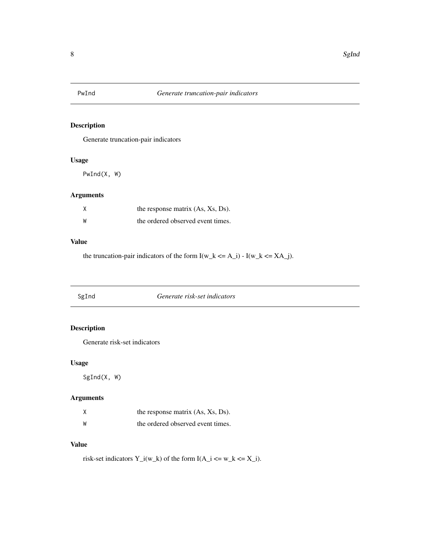<span id="page-7-0"></span>

#### Description

Generate truncation-pair indicators

#### Usage

PwInd(X, W)

#### Arguments

| X | the response matrix (As, Xs, Ds). |
|---|-----------------------------------|
| W | the ordered observed event times. |

#### Value

the truncation-pair indicators of the form  $I(w_k \leq A_i)$  -  $I(w_k \leq XA_i)$ .

SgInd *Generate risk-set indicators*

#### Description

Generate risk-set indicators

#### Usage

SgInd(X, W)

#### Arguments

|    | the response matrix (As, Xs, Ds). |
|----|-----------------------------------|
| ิพ | the ordered observed event times. |

#### Value

risk-set indicators Y\_i(w\_k) of the form  $I(A_i \le w_k \le X_i)$ .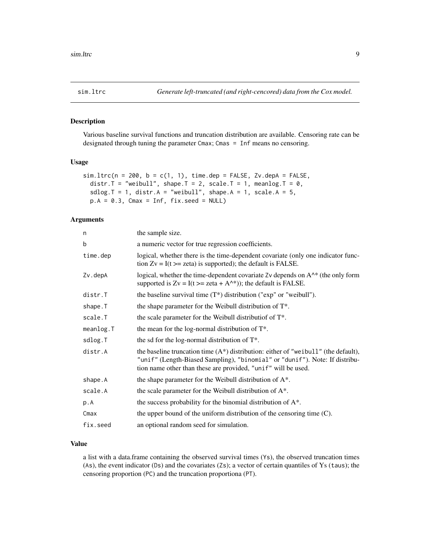<span id="page-8-0"></span>

#### Description

Various baseline survival functions and truncation distribution are available. Censoring rate can be designated through tuning the parameter Cmax; Cmas = Inf means no censoring.

#### Usage

```
sim.ltrc(n = 200, b = c(1, 1), time.dep = FALSE, Zv.depA = FALSE,distr.T = "weibull", shape.T = 2, scale.T = 1, meanlog.T = 0,
 sdlog.T = 1, distr.A = "weibull", shape.A = 1, scale.A = 5,
 p.A = 0.3, Cmax = Inf, fix.seed = NULL)
```
#### Arguments

| the sample size.                                                                                                                                                                                                                       |
|----------------------------------------------------------------------------------------------------------------------------------------------------------------------------------------------------------------------------------------|
| a numeric vector for true regression coefficients.                                                                                                                                                                                     |
| logical, whether there is the time-dependent covariate (only one indicator func-<br>tion $Zv = I(t) = zeta$ is supported); the default is FALSE.                                                                                       |
| logical, whether the time-dependent covariate Zv depends on A <sup><math>\wedge^*</math></sup> (the only form<br>supported is $Zv = I(t) = zeta + A^*$ ; the default is FALSE.                                                         |
| the baseline survival time $(T^*)$ distribution ("exp" or "weibull").                                                                                                                                                                  |
| the shape parameter for the Weibull distribution of $T^*$ .                                                                                                                                                                            |
| the scale parameter for the Weibull distributiof of $T^*$ .                                                                                                                                                                            |
| the mean for the log-normal distribution of $T^*$ .                                                                                                                                                                                    |
| the sd for the log-normal distribution of $T^*$ .                                                                                                                                                                                      |
| the baseline truncation time $(A^*)$ distribution: either of "we ibull" (the default),<br>"unif" (Length-Biased Sampling), "binomial" or "dunif"). Note: If distribu-<br>tion name other than these are provided, "unif" will be used. |
| the shape parameter for the Weibull distribution of $A^*$ .                                                                                                                                                                            |
| the scale parameter for the Weibull distribution of $A^*$ .                                                                                                                                                                            |
| the success probability for the binomial distribution of A*.                                                                                                                                                                           |
| the upper bound of the uniform distribution of the censoring time (C).                                                                                                                                                                 |
| an optional random seed for simulation.                                                                                                                                                                                                |
|                                                                                                                                                                                                                                        |

#### Value

a list with a data.frame containing the observed survival times (Ys), the observed truncation times (As), the event indicator (Ds) and the covariates (Zs); a vector of certain quantiles of Ys (taus); the censoring proportion (PC) and the truncation proportiona (PT).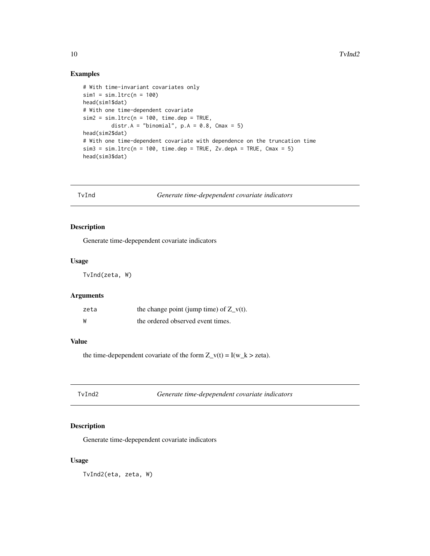#### Examples

```
# With time-invariant covariates only
sim1 = sim.ltrc(n = 100)head(sim1$dat)
# With one time-dependent covariate
sim2 = sim.ltrc(n = 100, time.dep = TRUE,distr.A = "binomial", p.A = 0.8, Cmax = 5)
head(sim2$dat)
# With one time-dependent covariate with dependence on the truncation time
sim3 = sim.ltrc(n = 100, time.dep = TRUE, Zv.depA = TRUE, Cmax = 5)head(sim3$dat)
```
TvInd *Generate time-depependent covariate indicators*

#### Description

Generate time-depependent covariate indicators

#### Usage

TvInd(zeta, W)

#### Arguments

| zeta | the change point (jump time) of $Z_v(t)$ . |
|------|--------------------------------------------|
| W    | the ordered observed event times.          |

#### Value

the time-depependent covariate of the form  $Z_v(t) = I(w_k > zeta)$ .

TvInd2 *Generate time-depependent covariate indicators*

#### Description

Generate time-depependent covariate indicators

#### Usage

TvInd2(eta, zeta, W)

<span id="page-9-0"></span>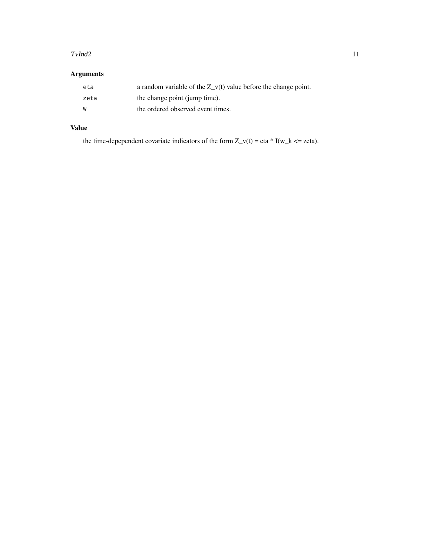#### $TvInd2$  11

#### Arguments

| eta  | a random variable of the $Z$ v(t) value before the change point. |
|------|------------------------------------------------------------------|
| zeta | the change point (jump time).                                    |
| W    | the ordered observed event times.                                |

#### Value

the time-depependent covariate indicators of the form  $Z_v(t) = eta * I(w_k \leq zeta)$ .